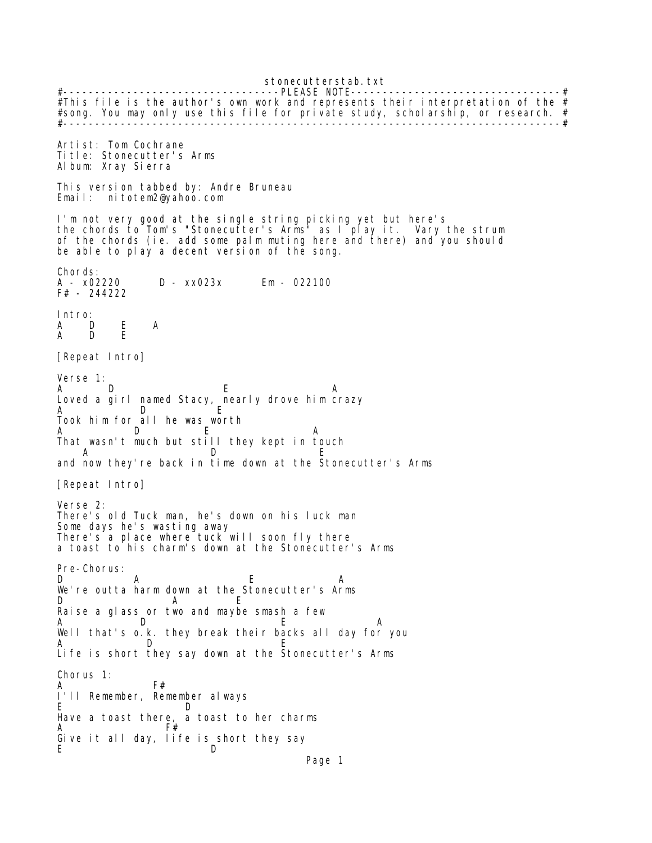stonecutterstab.txt #----------------------------------PLEASE NOTE---------------------------------# #This file is the author's own work and represents their interpretation of the  $\#$ #song. You may only use this file for private study, scholarship, or research. # #------------------------------------------------------------------------------# Artist: Tom Cochrane Title: Stonecutter's Arms Album: Xray Sierra This version tabbed by: Andre Bruneau Email: nitotem2@yahoo.com I'm not very good at the single string picking yet but here's the chords to Tom's "Stonecutter's Arms" as I play it. Vary the strum of the chords (ie. add some palm muting here and there) and you should be able to play a decent version of the song. Chords:<br>A - x02220 A - x02220 D - xx023x Em - 022100 F# - 244222 Intro: A D E A D E [Repeat Intro] Verse 1: A D E A Loved a girl named Stacy, nearly drove him crazy A D E Took him for all he was worth A D E A That wasn't much but still they kept in touch A D E and now they're back in time down at the Stonecutter's Arms [Repeat Intro] Verse 2: There's old Tuck man, he's down on his luck man Some days he's wasting away There's a place where tuck will soon fly there a toast to his charm's down at the Stonecutter's Arms Pre-Chorus:<br>D D A E A We're outta harm down at the Stonecutter's Arms D A E Raise a glass or two and maybe smash a few A D E A Well that's o.k. they break their backs all day for you A D E Life is short they say down at the Stonecutter's Arms Chorus 1: A F# I'll Remember, Remember always E D Have a toast there, a toast to her charms A F# Give it all day, life is short they say E D